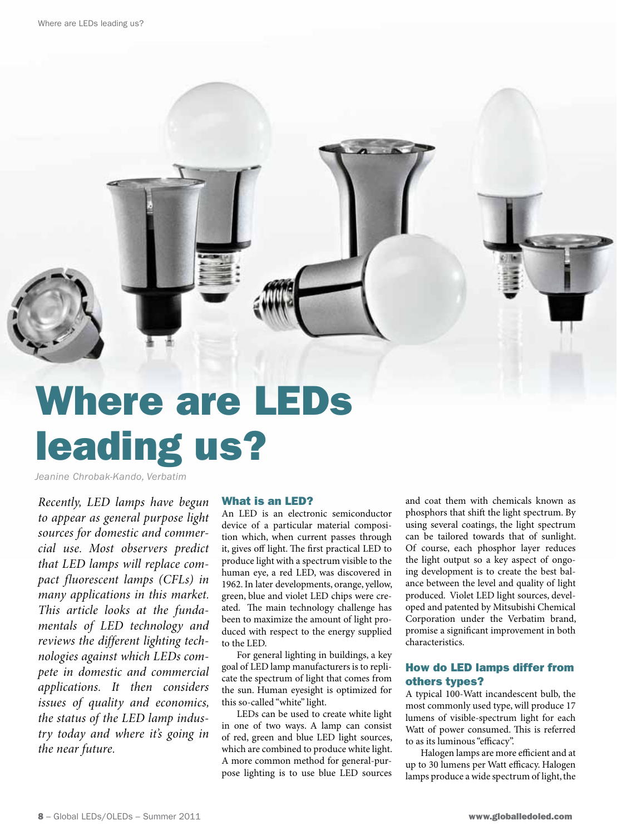

# leading us?

*Jeanine Chrobak-Kando, Verbatim*

*Recently, LED lamps have begun to appear as general purpose light sources for domestic and commercial use. Most observers predict that LED lamps will replace compact fluorescent lamps (CFLs) in many applications in this market. This article looks at the fundamentals of LED technology and reviews the different lighting technologies against which LEDs compete in domestic and commercial applications. It then considers issues of quality and economics, the status of the LED lamp industry today and where it's going in the near future.* 

#### What is an LED?

An LED is an electronic semiconductor device of a particular material composition which, when current passes through it, gives off light. The first practical LED to produce light with a spectrum visible to the human eye, a red LED, was discovered in 1962. In later developments, orange, yellow, green, blue and violet LED chips were created. The main technology challenge has been to maximize the amount of light produced with respect to the energy supplied to the LED.

For general lighting in buildings, a key goal of LED lamp manufacturers is to replicate the spectrum of light that comes from the sun. Human eyesight is optimized for this so-called "white" light.

LEDs can be used to create white light in one of two ways. A lamp can consist of red, green and blue LED light sources, which are combined to produce white light. A more common method for general-purpose lighting is to use blue LED sources

and coat them with chemicals known as phosphors that shift the light spectrum. By using several coatings, the light spectrum can be tailored towards that of sunlight. Of course, each phosphor layer reduces the light output so a key aspect of ongoing development is to create the best balance between the level and quality of light produced. Violet LED light sources, developed and patented by Mitsubishi Chemical Corporation under the Verbatim brand, promise a significant improvement in both characteristics.

## How do LED lamps differ from others types?

A typical 100-Watt incandescent bulb, the most commonly used type, will produce 17 lumens of visible-spectrum light for each Watt of power consumed. This is referred to as its luminous "efficacy".

Halogen lamps are more efficient and at up to 30 lumens per Watt efficacy. Halogen lamps produce a wide spectrum of light, the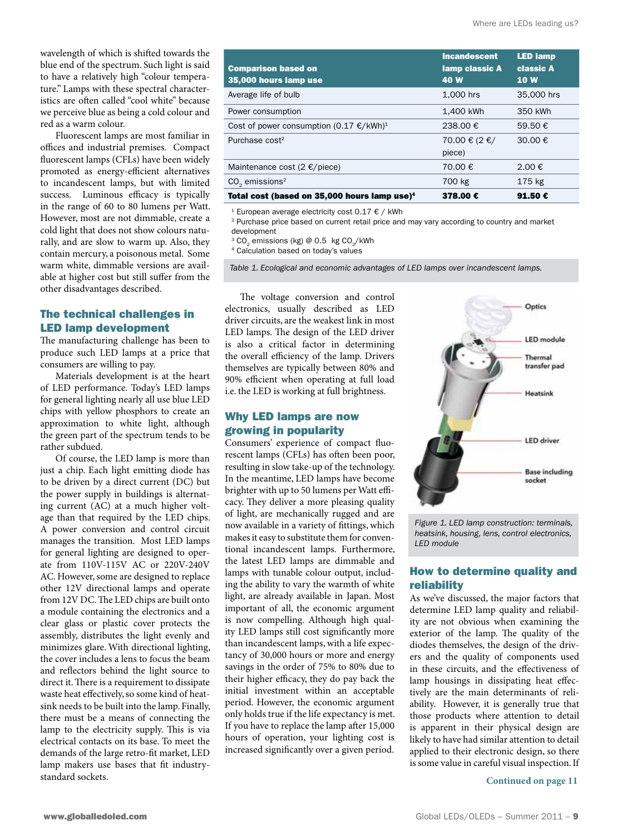wavelength of which is shifted towards the blue end of the spectrum. Such light is said to have a relatively high "colour temperature." Lamps with these spectral characteristics are often called "cool white" because we perceive blue as being a cold colour and red as a warm colour.

Fluorescent lamps are most familiar in offices and industrial premises. Compact fluorescent lamps (CFLs) have been widely promoted as energy-efficient alternatives to incandescent lamps, but with limited success. Luminous efficacy is typically in the range of 60 to 80 lumens per Watt. However, most are not dimmable, create a cold light that does not show colours naturally, and are slow to warm up. Also, they contain mercury, a poisonous metal. Some warm white, dimmable versions are available at higher cost but still suffer from the other disadvantages described.

#### The technical challenges in LED lamp development

The manufacturing challenge has been to produce such LED lamps at a price that consumers are willing to pay.

Materials development is at the heart of LED performance. Today's LED lamps for general lighting nearly all use blue LED chips with yellow phosphors to create an approximation to white light, although the green part of the spectrum tends to be rather subdued.

Of course, the LED lamp is more than just a chip. Each light emitting diode has to be driven by a direct current (DC) but the power supply in buildings is alternating current (AC) at a much higher voltage than that required by the LED chips. A power conversion and control circuit manages the transition. Most LED lamps for general lighting are designed to operate from 110V-115V AC or 220V-240V AC. However, some are designed to replace other 12V directional lamps and operate from 12V DC. The LED chips are built onto a module containing the electronics and a clear glass or plastic cover protects the assembly, distributes the light evenly and minimizes glare. With directional lighting, the cover includes a lens to focus the beam and reflectors behind the light source to direct it. There is a requirement to dissipate waste heat effectively, so some kind of heatsink needs to be built into the lamp. Finally, there must be a means of connecting the lamp to the electricity supply. This is via electrical contacts on its base. To meet the demands of the large retro-fit market, LED lamp makers use bases that fit industrystandard sockets.

| <b>Comparison based on</b><br>35,000 hours lamp use      | <b>Incandescent</b><br>lamp classic A<br>40 W | <b>LED lamp</b><br>classic A<br><b>10W</b> |
|----------------------------------------------------------|-----------------------------------------------|--------------------------------------------|
| Average life of bulb                                     | 1,000 hrs                                     | 35,000 hrs                                 |
| Power consumption                                        | 1.400 kWh                                     | 350 kWh                                    |
| Cost of power consumption $(0.17 \text{ E/kWh})^1$       | 238.00 €                                      | 59.50 €                                    |
| Purchase $cost2$                                         | 70.00 € (2 €/<br>piece)                       | 30.00 €                                    |
| Maintenance cost (2 $\epsilon$ /piece)                   | 70.00 €                                       | $2.00 \notin$                              |
| $CO2$ emissions <sup>2</sup>                             | 700 kg                                        | 175 kg                                     |
| Total cost (based on 35,000 hours lamp use) <sup>4</sup> | 378.00 €                                      | 91.50 $\epsilon$                           |

<sup>1</sup> European average electricity cost 0.17 € / kWh

<sup>2</sup> Purchase price based on current retail price and may vary according to country and market development

<sup>3</sup> CO<sub>2</sub> emissions (kg) @ 0.5 kg CO<sub>2</sub>/kWh <br><sup>4</sup> Calculation based on today's values

*Table 1. Ecological and economic advantages of LED lamps over incandescent lamps.*

The voltage conversion and control electronics, usually described as LED driver circuits, are the weakest link in most LED lamps. The design of the LED driver is also a critical factor in determining the overall efficiency of the lamp. Drivers themselves are typically between 80% and 90% efficient when operating at full load i.e. the LED is working at full brightness.

#### Why LED lamps are now growing in popularity

Consumers' experience of compact fluorescent lamps (CFLs) has often been poor, resulting in slow take-up of the technology. In the meantime, LED lamps have become brighter with up to 50 lumens per Watt efficacy. They deliver a more pleasing quality of light, are mechanically rugged and are now available in a variety of fittings, which makes it easy to substitute them for conventional incandescent lamps. Furthermore, the latest LED lamps are dimmable and lamps with tunable colour output, including the ability to vary the warmth of white light, are already available in Japan. Most important of all, the economic argument is now compelling. Although high quality LED lamps still cost significantly more than incandescent lamps, with a life expectancy of 30,000 hours or more and energy savings in the order of 75% to 80% due to their higher efficacy, they do pay back the initial investment within an acceptable period. However, the economic argument only holds true if the life expectancy is met. If you have to replace the lamp after 15,000 hours of operation, your lighting cost is increased significantly over a given period.



*Figure 1. LED lamp construction: terminals, heatsink, housing, lens, control electronics, LED module*

#### How to determine quality and reliability

As we've discussed, the major factors that determine LED lamp quality and reliability are not obvious when examining the exterior of the lamp. The quality of the diodes themselves, the design of the drivers and the quality of components used in these circuits, and the effectiveness of lamp housings in dissipating heat effectively are the main determinants of reliability. However, it is generally true that those products where attention to detail is apparent in their physical design are likely to have had similar attention to detail applied to their electronic design, so there is some value in careful visual inspection. If

**Continued on page 11**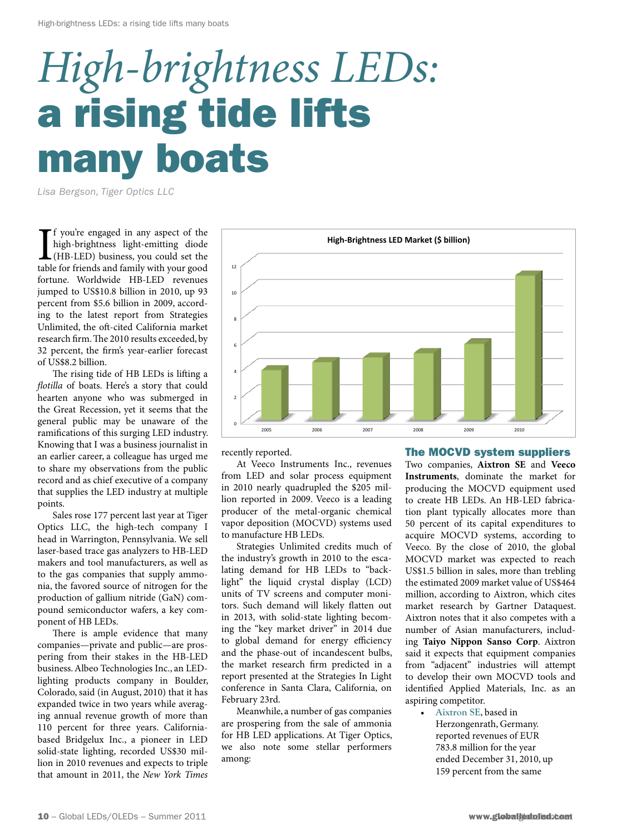# *High-brightness LEDs:* a rising tide lifts many boats

*Lisa Bergson, Tiger Optics LLC*

If you're engaged in any aspect of the high-brightness light-emitting diode (HB-LED) business, you could set the table for friends and family with your good f you're engaged in any aspect of the high-brightness light-emitting diode (HB-LED) business, you could set the fortune. Worldwide HB-LED revenues jumped to US\$10.8 billion in 2010, up 93 percent from \$5.6 billion in 2009, according to the latest report from Strategies Unlimited, the oft-cited California market research firm. The 2010 results exceeded, by 32 percent, the firm's year-earlier forecast of US\$8.2 billion.

The rising tide of HB LEDs is lifting a *flotilla* of boats. Here's a story that could hearten anyone who was submerged in the Great Recession, yet it seems that the general public may be unaware of the ramifications of this surging LED industry. Knowing that I was a business journalist in an earlier career, a colleague has urged me to share my observations from the public record and as chief executive of a company that supplies the LED industry at multiple points.

Sales rose 177 percent last year at Tiger Optics LLC, the high-tech company I head in Warrington, Pennsylvania. We sell laser-based trace gas analyzers to HB-LED makers and tool manufacturers, as well as to the gas companies that supply ammonia, the favored source of nitrogen for the production of gallium nitride (GaN) compound semiconductor wafers, a key component of HB LEDs.

There is ample evidence that many companies—private and public—are prospering from their stakes in the HB-LED business. Albeo Technologies Inc., an LEDlighting products company in Boulder, Colorado, said (in August, 2010) that it has expanded twice in two years while averaging annual revenue growth of more than 110 percent for three years. Californiabased Bridgelux Inc., a pioneer in LED solid-state lighting, recorded US\$30 million in 2010 revenues and expects to triple that amount in 2011, the *New York Times*



recently reported.

At Veeco Instruments Inc., revenues from LED and solar process equipment in 2010 nearly quadrupled the \$205 million reported in 2009. Veeco is a leading producer of the metal-organic chemical vapor deposition (MOCVD) systems used to manufacture HB LEDs.

Strategies Unlimited credits much of the industry's growth in 2010 to the escalating demand for HB LEDs to "backlight" the liquid crystal display (LCD) units of TV screens and computer monitors. Such demand will likely flatten out in 2013, with solid-state lighting becoming the "key market driver" in 2014 due to global demand for energy efficiency and the phase-out of incandescent bulbs, the market research firm predicted in a report presented at the Strategies In Light conference in Santa Clara, California, on February 23rd.

Meanwhile, a number of gas companies are prospering from the sale of ammonia for HB LED applications. At Tiger Optics, we also note some stellar performers among:

#### The MOCVD system suppliers

Two companies, **Aixtron SE** and **Veeco Instruments**, dominate the market for producing the MOCVD equipment used to create HB LEDs. An HB-LED fabrication plant typically allocates more than 50 percent of its capital expenditures to acquire MOCVD systems, according to Veeco. By the close of 2010, the global MOCVD market was expected to reach US\$1.5 billion in sales, more than trebling the estimated 2009 market value of US\$464 million, according to Aixtron, which cites market research by Gartner Dataquest. Aixtron notes that it also competes with a number of Asian manufacturers, including **Taiyo Nippon Sanso Corp**. Aixtron said it expects that equipment companies from "adjacent" industries will attempt to develop their own MOCVD tools and identified Applied Materials, Inc. as an aspiring competitor.

• **Aixtron SE**, based in Herzongenrath, Germany. reported revenues of EUR 783.8 million for the year ended December 31, 2010, up 159 percent from the same